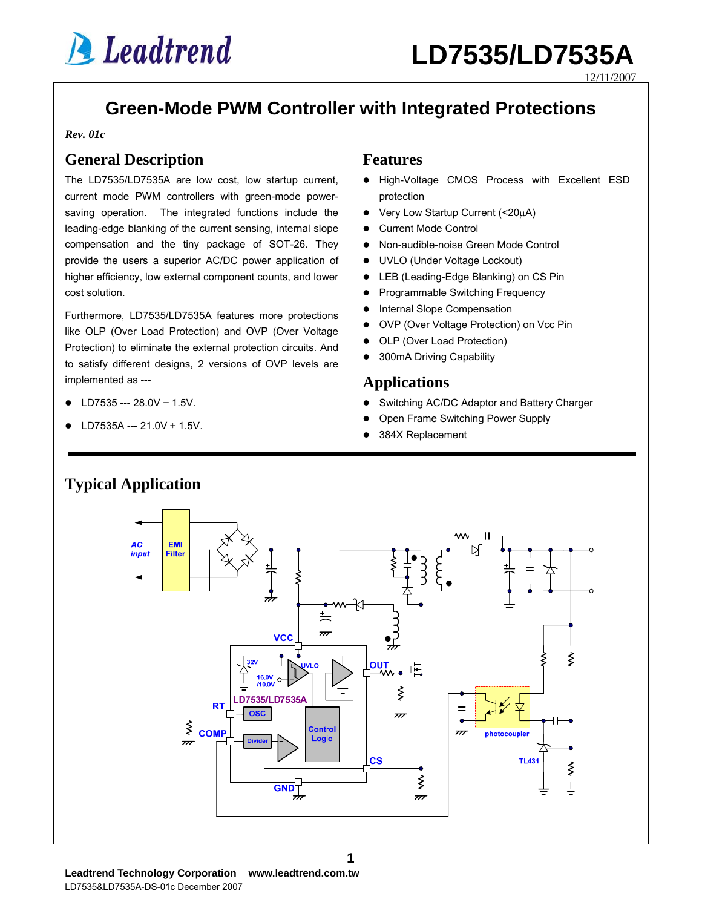12/11/2007

## **Green-Mode PWM Controller with Integrated Protections**

*Rev. 01c*

### **General Description**

The LD7535/LD7535A are low cost, low startup current, current mode PWM controllers with green-mode powersaving operation. The integrated functions include the leading-edge blanking of the current sensing, internal slope compensation and the tiny package of SOT-26. They provide the users a superior AC/DC power application of higher efficiency, low external component counts, and lower cost solution.

Furthermore, LD7535/LD7535A features more protections like OLP (Over Load Protection) and OVP (Over Voltage Protection) to eliminate the external protection circuits. And to satisfy different designs, 2 versions of OVP levels are implemented as ---

- LD7535 ---  $28.0V \pm 1.5V$ .
- $L$  D7535A --- 21.0V + 1.5V

#### **Features**

- High-Voltage CMOS Process with Excellent ESD protection
- $\bullet$  Very Low Startup Current (<20 $\mu$ A)
- Current Mode Control
- Non-audible-noise Green Mode Control
- UVLO (Under Voltage Lockout)
- LEB (Leading-Edge Blanking) on CS Pin
- Programmable Switching Frequency
- Internal Slope Compensation
- OVP (Over Voltage Protection) on Vcc Pin
- OLP (Over Load Protection)
- 300mA Driving Capability

### **Applications**

- Switching AC/DC Adaptor and Battery Charger
- Open Frame Switching Power Supply
- 384X Replacement



**1**

**Typical Application**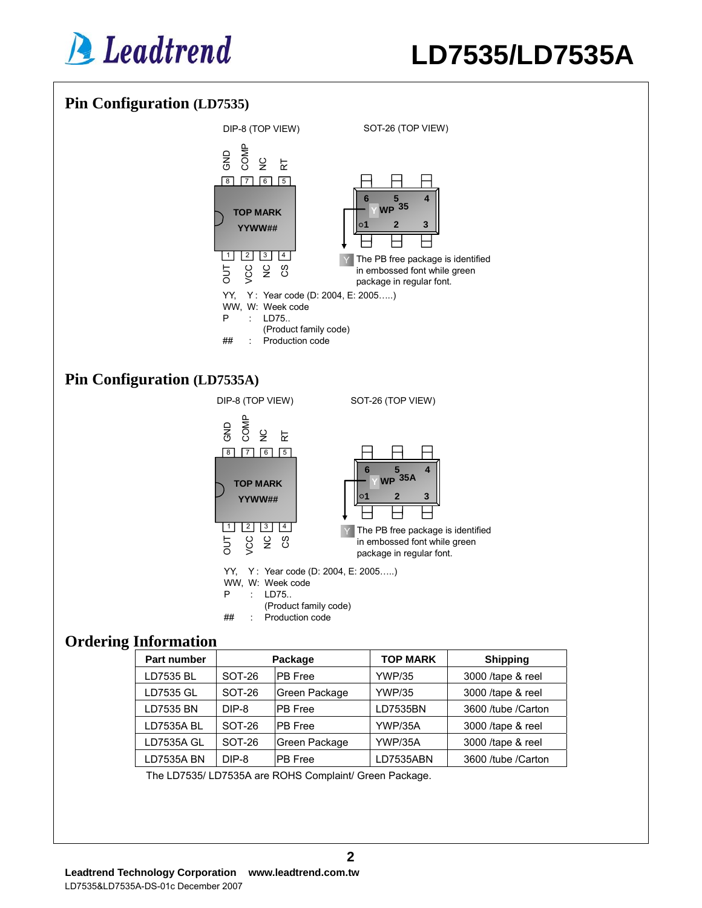



The LD7535/ LD7535A are ROHS Complaint/ Green Package.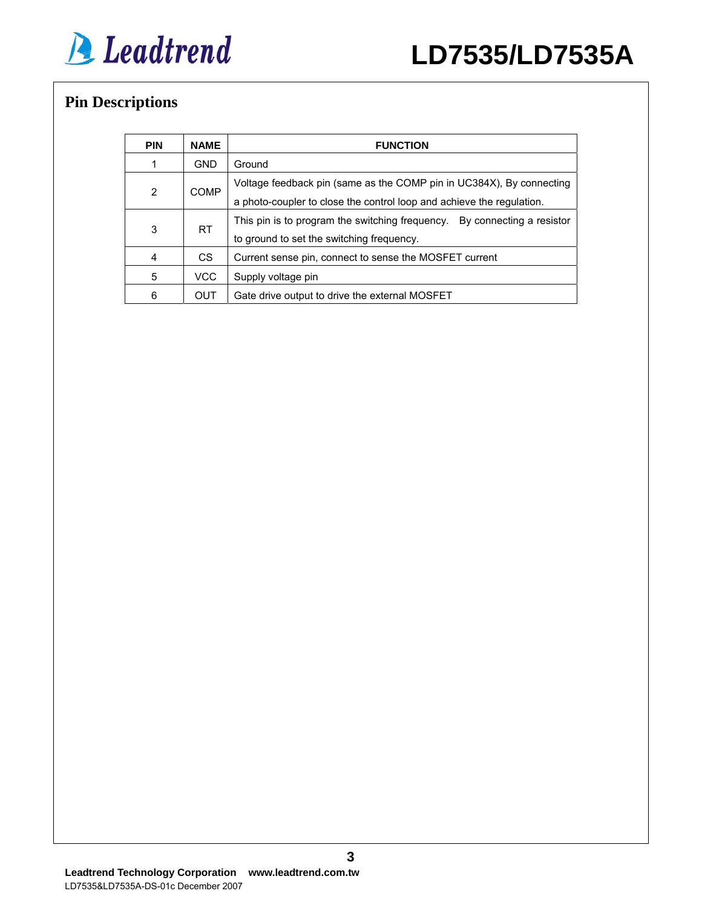

## **Pin Descriptions**

| <b>PIN</b> | <b>NAME</b> | <b>FUNCTION</b>                                                                                                                               |  |
|------------|-------------|-----------------------------------------------------------------------------------------------------------------------------------------------|--|
|            | <b>GND</b>  | Ground                                                                                                                                        |  |
| 2          | <b>COMP</b> | Voltage feedback pin (same as the COMP pin in UC384X), By connecting<br>a photo-coupler to close the control loop and achieve the regulation. |  |
| 3          | RT.         | This pin is to program the switching frequency.  By connecting a resistor<br>to ground to set the switching frequency.                        |  |
| 4          | CS.         | Current sense pin, connect to sense the MOSFET current                                                                                        |  |
| 5          | VCC         | Supply voltage pin                                                                                                                            |  |
| 6          | OUT         | Gate drive output to drive the external MOSFET                                                                                                |  |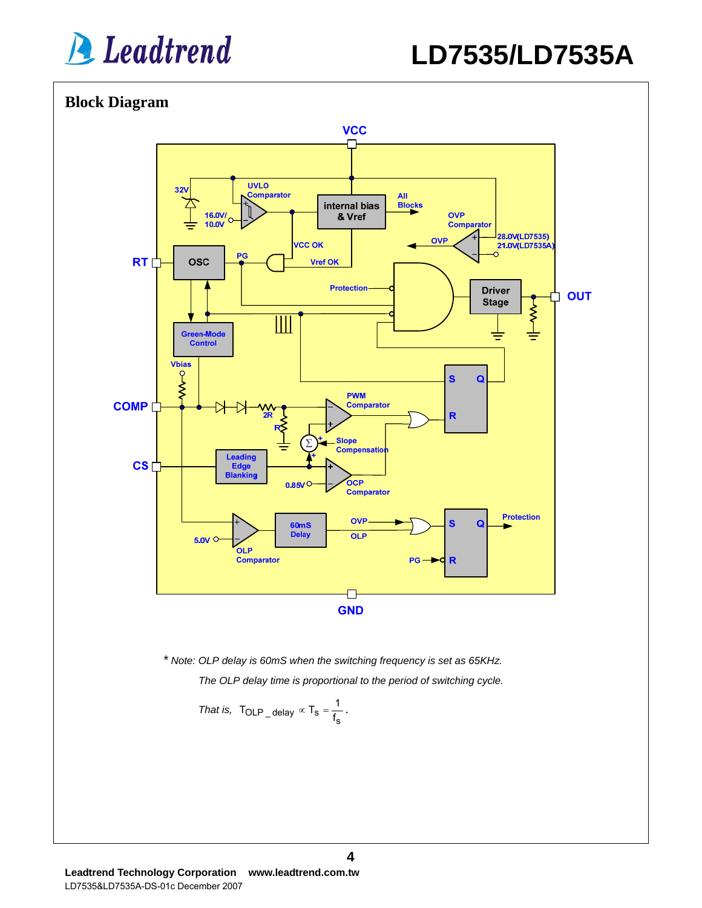

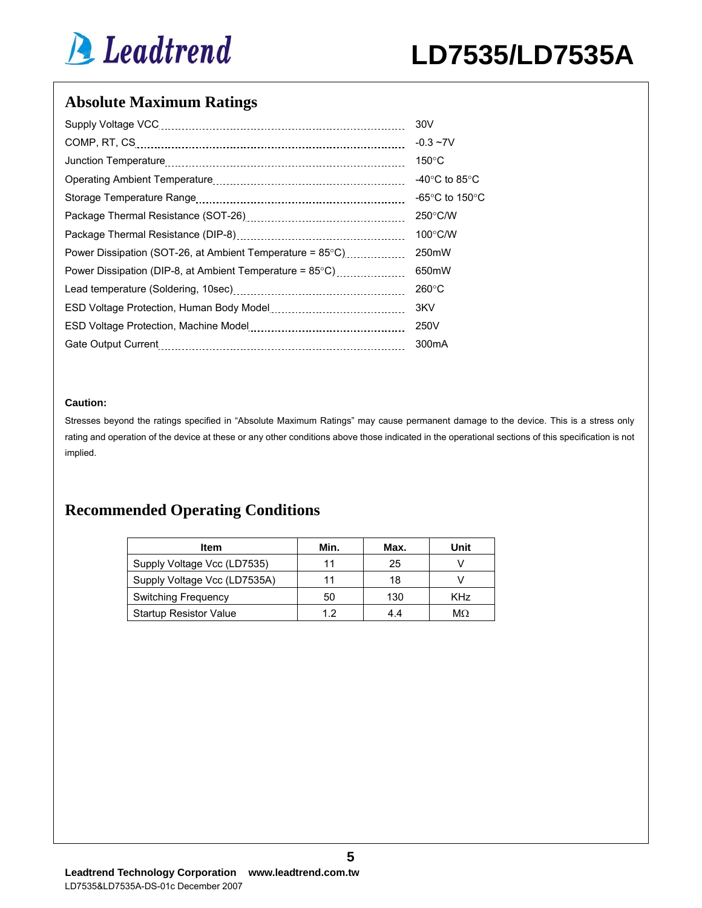

## **Absolute Maximum Ratings**

|                                                           | 30V                                |
|-----------------------------------------------------------|------------------------------------|
|                                                           | $-0.3 - 7V$                        |
|                                                           | $150^{\circ}$ C                    |
|                                                           | -40°C to 85°C                      |
|                                                           | -65 $\degree$ C to 150 $\degree$ C |
|                                                           | $250^{\circ}$ C/W                  |
|                                                           | $100^{\circ}$ C/W                  |
| Power Dissipation (SOT-26, at Ambient Temperature = 85°C) | 250 <sub>m</sub> W                 |
| Power Dissipation (DIP-8, at Ambient Temperature = 85°C)  | 650mW                              |
|                                                           | $260^{\circ}$ C                    |
|                                                           | 3KV                                |
|                                                           | 250V                               |
| Gate Output Current                                       | 300 <sub>m</sub> A                 |

#### **Caution:**

Stresses beyond the ratings specified in "Absolute Maximum Ratings" may cause permanent damage to the device. This is a stress only rating and operation of the device at these or any other conditions above those indicated in the operational sections of this specification is not implied.

## **Recommended Operating Conditions**

| Item                          | Min. | Max. | Unit |
|-------------------------------|------|------|------|
| Supply Voltage Vcc (LD7535)   |      | 25   |      |
| Supply Voltage Vcc (LD7535A)  |      | 18   |      |
| Switching Frequency           | 50   | 130  | KHz  |
| <b>Startup Resistor Value</b> | 19   | 44   | MΩ   |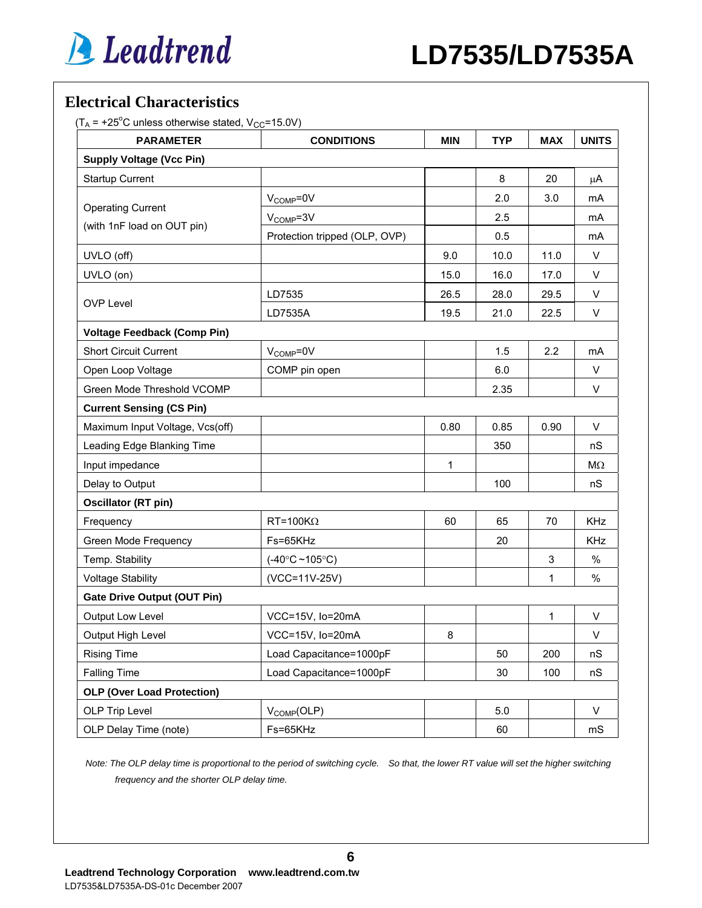## **Electrical Characteristics**

 $(T_A = +25^{\circ}$ C unless otherwise stated,  $V_{CC} = 15.0V$ )

| <b>PARAMETER</b>                   | <b>CONDITIONS</b>               | <b>MIN</b> | <b>TYP</b> | <b>MAX</b> | <b>UNITS</b> |
|------------------------------------|---------------------------------|------------|------------|------------|--------------|
| <b>Supply Voltage (Vcc Pin)</b>    |                                 |            |            |            |              |
| <b>Startup Current</b>             |                                 |            | 8          | 20         | $\mu$ A      |
|                                    | $V_{\text{COMP}} = 0V$          |            | 2.0        | 3.0        | mA           |
| <b>Operating Current</b>           | $V_{COMP} = 3V$                 |            | 2.5        |            | mA           |
| (with 1nF load on OUT pin)         | Protection tripped (OLP, OVP)   |            | 0.5        |            | mA           |
| UVLO (off)                         |                                 | 9.0        | 10.0       | 11.0       | V            |
| UVLO (on)                          |                                 | 15.0       | 16.0       | 17.0       | V            |
|                                    | LD7535                          | 26.5       | 28.0       | 29.5       | V            |
| <b>OVP Level</b>                   | LD7535A                         | 19.5       | 21.0       | 22.5       | V            |
| <b>Voltage Feedback (Comp Pin)</b> |                                 |            |            |            |              |
| <b>Short Circuit Current</b>       | $V_{\text{COMP}} = 0V$          |            | 1.5        | 2.2        | mA           |
| Open Loop Voltage                  | COMP pin open                   |            | 6.0        |            | V            |
| Green Mode Threshold VCOMP         |                                 |            | 2.35       |            | V            |
| <b>Current Sensing (CS Pin)</b>    |                                 |            |            |            |              |
| Maximum Input Voltage, Vcs(off)    |                                 | 0.80       | 0.85       | 0.90       | V            |
| Leading Edge Blanking Time         |                                 |            | 350        |            | nS           |
| Input impedance                    |                                 | 1          |            |            | $M\Omega$    |
| Delay to Output                    |                                 |            | 100        |            | nS           |
| Oscillator (RT pin)                |                                 |            |            |            |              |
| Frequency                          | $RT = 100K\Omega$               | 60         | 65         | 70         | <b>KHz</b>   |
| Green Mode Frequency               | Fs=65KHz                        |            | 20         |            | <b>KHz</b>   |
| Temp. Stability                    | $(-40^{\circ}C - 105^{\circ}C)$ |            |            | 3          | $\%$         |
| <b>Voltage Stability</b>           | (VCC=11V-25V)                   |            |            | 1          | $\%$         |
| <b>Gate Drive Output (OUT Pin)</b> |                                 |            |            |            |              |
| Output Low Level                   | VCC=15V, Io=20mA                |            |            | 1          | V            |
| Output High Level                  | VCC=15V, lo=20mA                | 8          |            |            | V            |
| <b>Rising Time</b>                 | Load Capacitance=1000pF         |            | 50         | 200        | nS           |
| <b>Falling Time</b>                | Load Capacitance=1000pF         |            | 30         | 100        | nS           |
| <b>OLP (Over Load Protection)</b>  |                                 |            |            |            |              |
| OLP Trip Level                     | V <sub>COMP</sub> (OLP)         |            | 5.0        |            | V            |
| OLP Delay Time (note)              | Fs=65KHz                        |            | 60         |            | mS           |

*Note: The OLP delay time is proportional to the period of switching cycle. So that, the lower RT value will set the higher switching frequency and the shorter OLP delay time.* 

**6**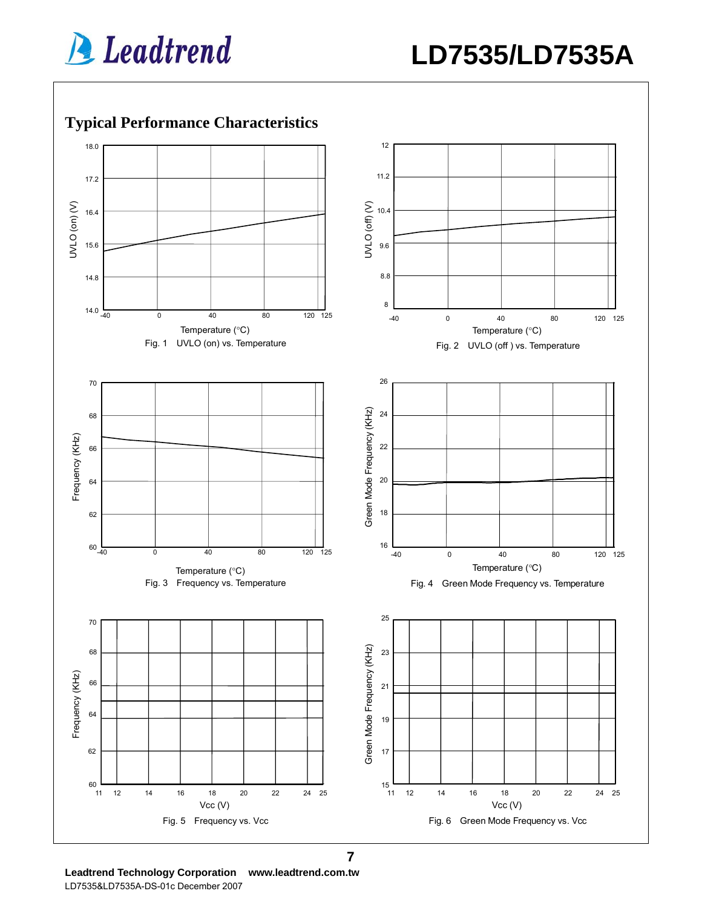

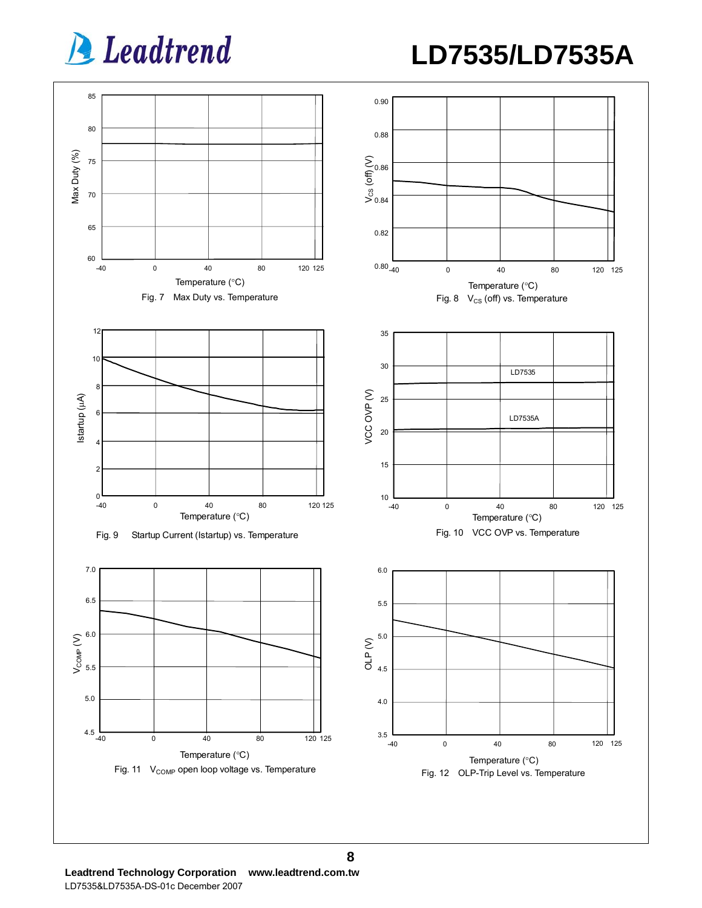**LD7535/LD7535A**



**Leadtrend Technology Corporation www.leadtrend.com.tw**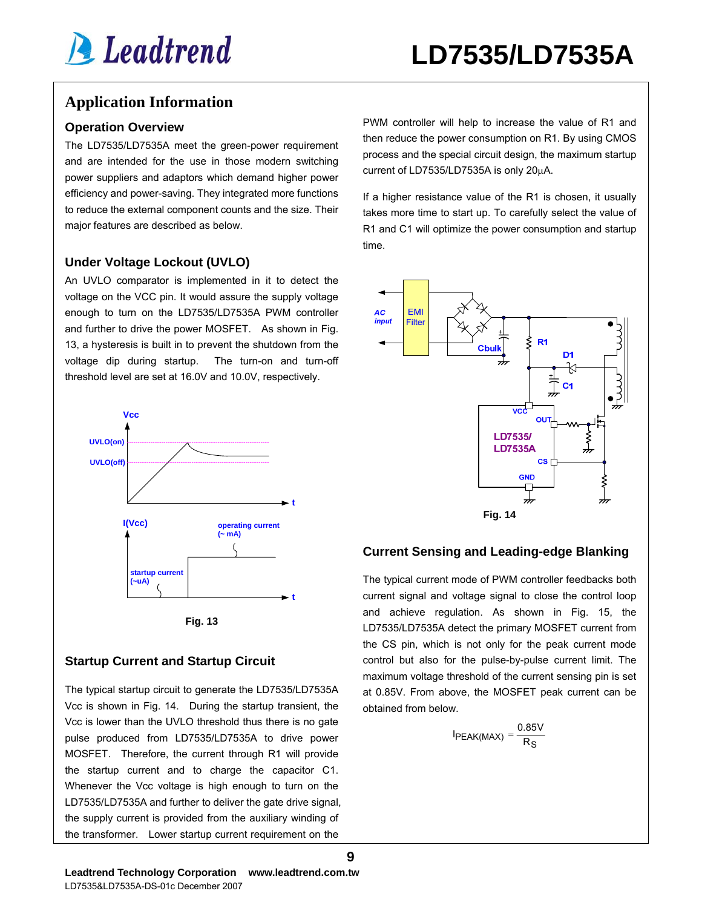## **Application Information**

#### **Operation Overview**

The LD7535/LD7535A meet the green-power requirement and are intended for the use in those modern switching power suppliers and adaptors which demand higher power efficiency and power-saving. They integrated more functions to reduce the external component counts and the size. Their major features are described as below.

#### **Under Voltage Lockout (UVLO)**

An UVLO comparator is implemented in it to detect the voltage on the VCC pin. It would assure the supply voltage enough to turn on the LD7535/LD7535A PWM controller and further to drive the power MOSFET. As shown in Fig. 13, a hysteresis is built in to prevent the shutdown from the voltage dip during startup. The turn-on and turn-off threshold level are set at 16.0V and 10.0V, respectively.





#### **Startup Current and Startup Circuit**

The typical startup circuit to generate the LD7535/LD7535A Vcc is shown in Fig. 14. During the startup transient, the Vcc is lower than the UVLO threshold thus there is no gate pulse produced from LD7535/LD7535A to drive power MOSFET. Therefore, the current through R1 will provide the startup current and to charge the capacitor C1. Whenever the Vcc voltage is high enough to turn on the LD7535/LD7535A and further to deliver the gate drive signal, the supply current is provided from the auxiliary winding of the transformer. Lower startup current requirement on the

PWM controller will help to increase the value of R1 and then reduce the power consumption on R1. By using CMOS process and the special circuit design, the maximum startup current of LD7535/LD7535A is only 20μA.

If a higher resistance value of the R1 is chosen, it usually takes more time to start up. To carefully select the value of R1 and C1 will optimize the power consumption and startup time.



#### **Current Sensing and Leading-edge Blanking**

The typical current mode of PWM controller feedbacks both current signal and voltage signal to close the control loop and achieve regulation. As shown in Fig. 15, the LD7535/LD7535A detect the primary MOSFET current from the CS pin, which is not only for the peak current mode control but also for the pulse-by-pulse current limit. The maximum voltage threshold of the current sensing pin is set at 0.85V. From above, the MOSFET peak current can be obtained from below.

$$
I_{PEAK(MAX)} = \frac{0.85V}{R_S}
$$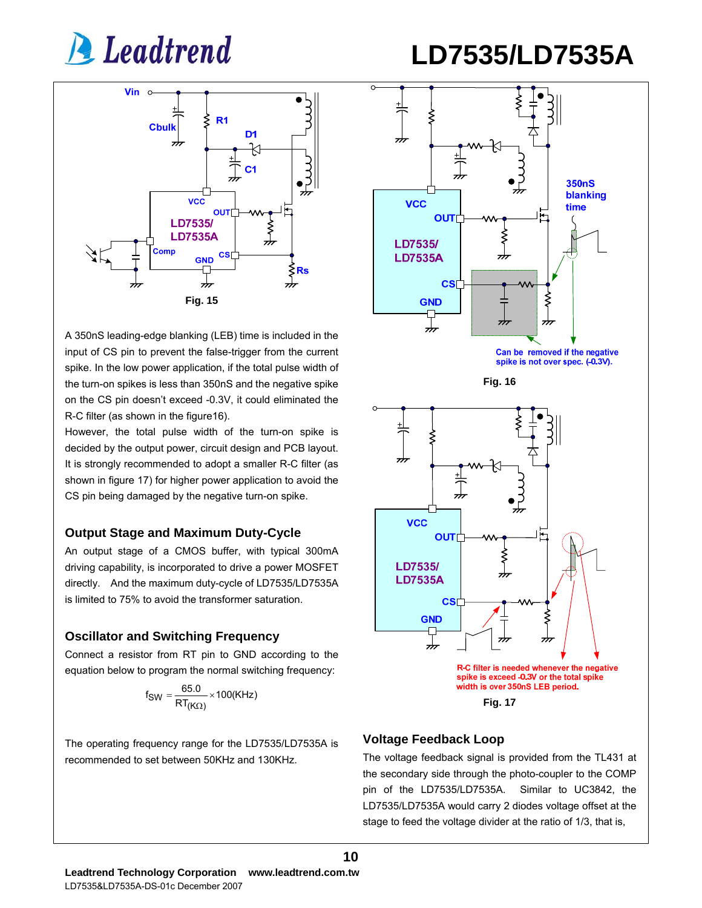



A 350nS leading-edge blanking (LEB) time is included in the input of CS pin to prevent the false-trigger from the current spike. In the low power application, if the total pulse width of the turn-on spikes is less than 350nS and the negative spike on the CS pin doesn't exceed -0.3V, it could eliminated the R-C filter (as shown in the figure16).

However, the total pulse width of the turn-on spike is decided by the output power, circuit design and PCB layout. It is strongly recommended to adopt a smaller R-C filter (as shown in figure 17) for higher power application to avoid the CS pin being damaged by the negative turn-on spike.

#### **Output Stage and Maximum Duty-Cycle**

An output stage of a CMOS buffer, with typical 300mA driving capability, is incorporated to drive a power MOSFET directly. And the maximum duty-cycle of LD7535/LD7535A is limited to 75% to avoid the transformer saturation.

#### **Oscillator and Switching Frequency**

Connect a resistor from RT pin to GND according to the equation below to program the normal switching frequency:

$$
f_{SW} = \frac{65.0}{RT_{(K\Omega)}} \times 100(KHz)
$$

The operating frequency range for the LD7535/LD7535A is recommended to set between 50KHz and 130KHz.



#### **Voltage Feedback Loop**

**10**

The voltage feedback signal is provided from the TL431 at the secondary side through the photo-coupler to the COMP pin of the LD7535/LD7535A. Similar to UC3842, the LD7535/LD7535A would carry 2 diodes voltage offset at the stage to feed the voltage divider at the ratio of 1/3, that is,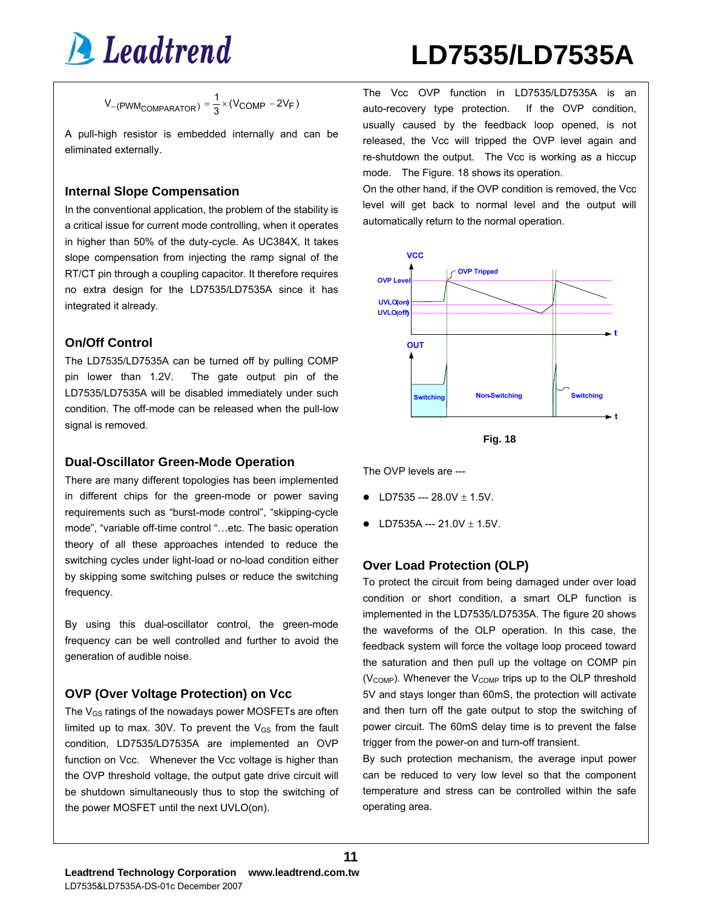

## **LD7535/LD7535A**

$$
V_{-(PWM_{COMPARATOR})} = \frac{1}{3} \times (V_{COMP} - 2V_F)
$$

A pull-high resistor is embedded internally and can be eliminated externally.

#### **Internal Slope Compensation**

In the conventional application, the problem of the stability is a critical issue for current mode controlling, when it operates in higher than 50% of the duty-cycle. As UC384X, It takes slope compensation from injecting the ramp signal of the RT/CT pin through a coupling capacitor. It therefore requires no extra design for the LD7535/LD7535A since it has integrated it already.

#### **On/Off Control**

The LD7535/LD7535A can be turned off by pulling COMP pin lower than 1.2V. The gate output pin of the LD7535/LD7535A will be disabled immediately under such condition. The off-mode can be released when the pull-low signal is removed.

#### **Dual-Oscillator Green-Mode Operation**

There are many different topologies has been implemented in different chips for the green-mode or power saving requirements such as "burst-mode control", "skipping-cycle mode", "variable off-time control "…etc. The basic operation theory of all these approaches intended to reduce the switching cycles under light-load or no-load condition either by skipping some switching pulses or reduce the switching frequency.

By using this dual-oscillator control, the green-mode frequency can be well controlled and further to avoid the generation of audible noise.

#### **OVP (Over Voltage Protection) on Vcc**

The V<sub>GS</sub> ratings of the nowadays power MOSFETs are often limited up to max. 30V. To prevent the  $V_{GS}$  from the fault condition, LD7535/LD7535A are implemented an OVP function on Vcc. Whenever the Vcc voltage is higher than the OVP threshold voltage, the output gate drive circuit will be shutdown simultaneously thus to stop the switching of the power MOSFET until the next UVLO(on).

The Vcc OVP function in LD7535/LD7535A is an auto-recovery type protection. If the OVP condition, usually caused by the feedback loop opened, is not released, the Vcc will tripped the OVP level again and re-shutdown the output. The Vcc is working as a hiccup mode. The Figure. 18 shows its operation.

On the other hand, if the OVP condition is removed, the Vcc level will get back to normal level and the output will automatically return to the normal operation.





The OVP levels are ---

- LD7535 ---  $28.0V \pm 1.5V$ .
- $\bullet$  LD7535A --- 21.0V  $\pm$  1.5V.

#### **Over Load Protection (OLP)**

To protect the circuit from being damaged under over load condition or short condition, a smart OLP function is implemented in the LD7535/LD7535A. The figure 20 shows the waveforms of the OLP operation. In this case, the feedback system will force the voltage loop proceed toward the saturation and then pull up the voltage on COMP pin ( $V_{\text{COMP}}$ ). Whenever the  $V_{\text{COMP}}$  trips up to the OLP threshold 5V and stays longer than 60mS, the protection will activate and then turn off the gate output to stop the switching of power circuit. The 60mS delay time is to prevent the false trigger from the power-on and turn-off transient.

By such protection mechanism, the average input power can be reduced to very low level so that the component temperature and stress can be controlled within the safe operating area.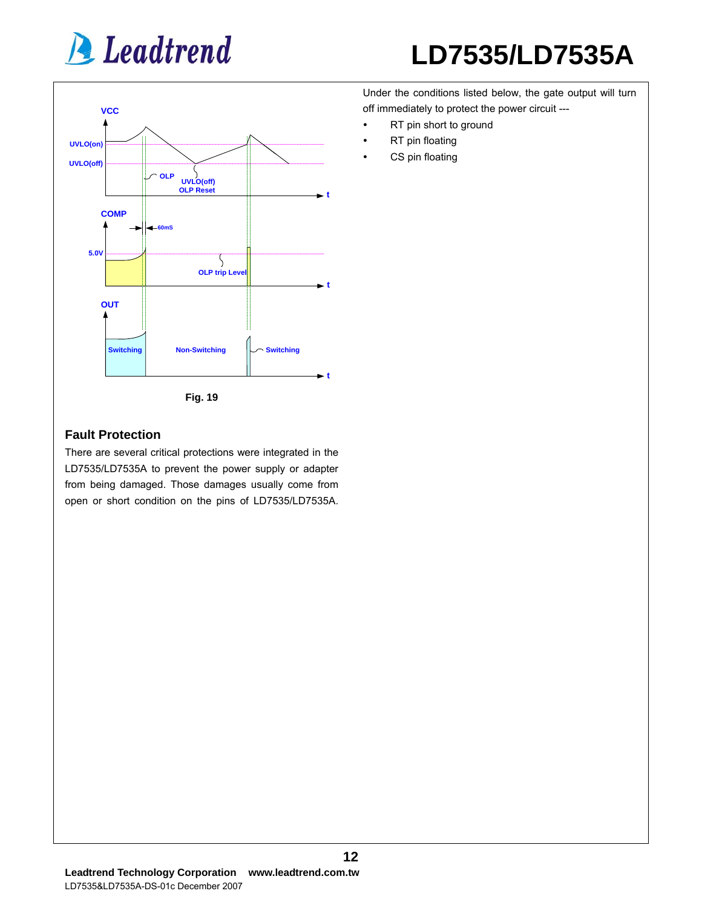

## **LD7535/LD7535A**

Under the conditions listed below, the gate output will turn off immediately to protect the power circuit ---

- RT pin short to ground
- RT pin floating
- CS pin floating

#### **Fault Protection**

There are several critical protections were integrated in the LD7535/LD7535A to prevent the power supply or adapter from being damaged. Those damages usually come from open or short condition on the pins of LD7535/LD7535A.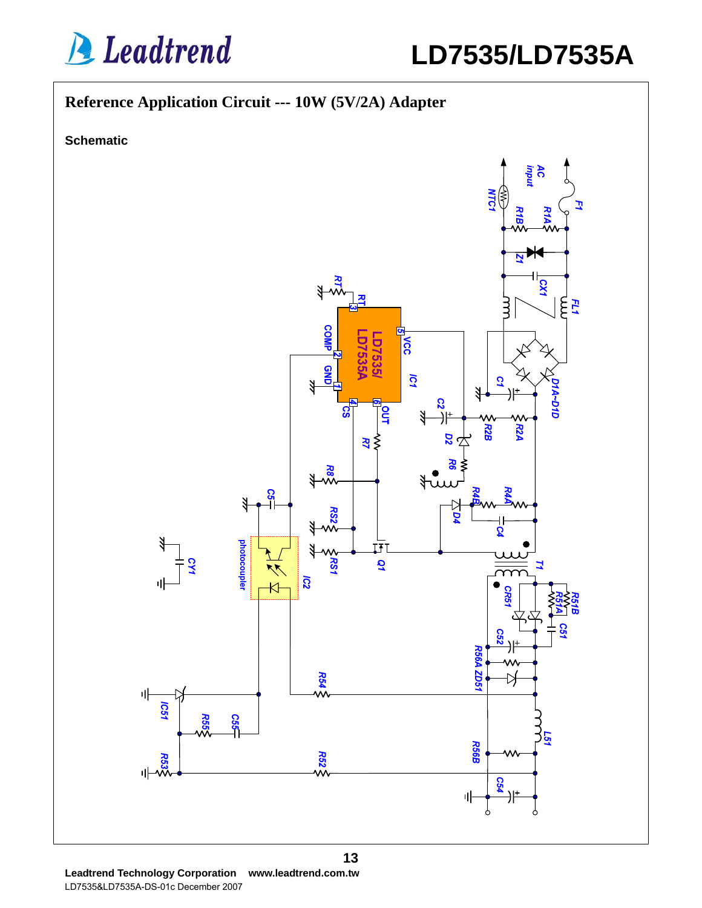

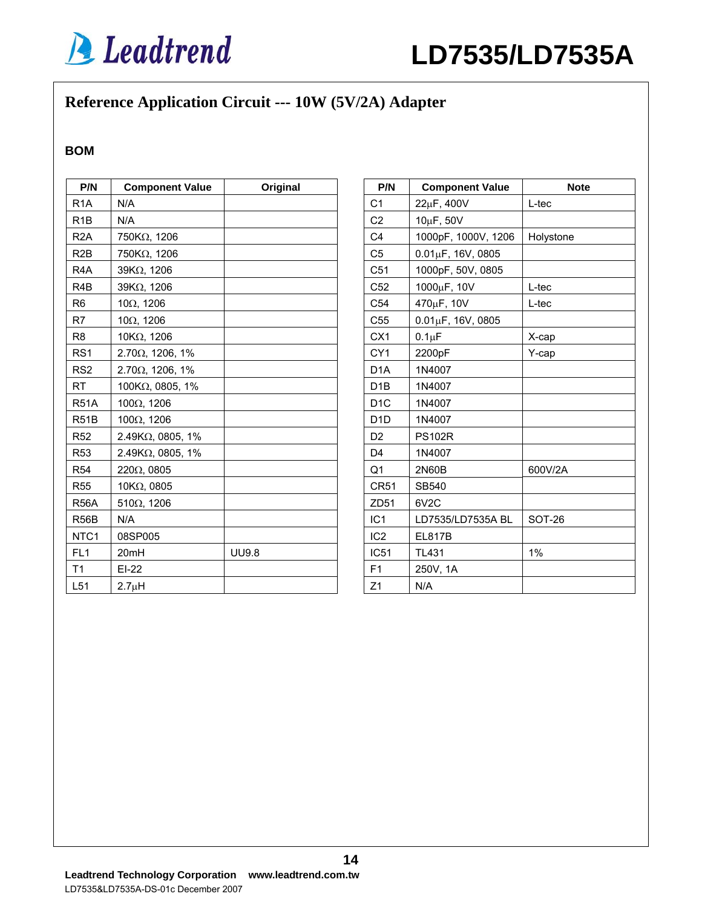

## **Reference Application Circuit --- 10W (5V/2A) Adapter**

#### **BOM**

| P/N               | <b>Component Value</b><br>Original |              |  |
|-------------------|------------------------------------|--------------|--|
| R <sub>1</sub> A  | N/A                                |              |  |
| R <sub>1</sub> B  | N/A                                |              |  |
| R <sub>2</sub> A  | 750KΩ, 1206                        |              |  |
| R <sub>2</sub> B  | 750KΩ, 1206                        |              |  |
| R <sub>4</sub> A  | 39KΩ, 1206                         |              |  |
| R <sub>4</sub> B  | 39KΩ, 1206                         |              |  |
| R <sub>6</sub>    | $10\Omega$ , 1206                  |              |  |
| R7                | $10\Omega$ , 1206                  |              |  |
| R <sub>8</sub>    | $10K\Omega$ , 1206                 |              |  |
| RS <sub>1</sub>   | $2.70\Omega$ , 1206, 1%            |              |  |
| RS <sub>2</sub>   | $2.70\Omega$ , 1206, 1%            |              |  |
| <b>RT</b>         | 100KΩ, 0805, 1%                    |              |  |
| <b>R51A</b>       | $100\Omega$ , 1206                 |              |  |
| R <sub>51</sub> B | 100Ω, 1206                         |              |  |
| <b>R52</b>        | $2.49$ K $\Omega$ , 0805, 1%       |              |  |
| <b>R53</b>        | 2.49ΚΩ, 0805, 1%                   |              |  |
| <b>R54</b>        | $220\Omega$ , 0805                 |              |  |
| <b>R55</b>        | 10KΩ, 0805                         |              |  |
| <b>R56A</b>       | $510\Omega$ , 1206                 |              |  |
| R <sub>56</sub> B | N/A                                |              |  |
| NTC1              | 08SP005                            |              |  |
| FL <sub>1</sub>   | 20mH                               | <b>UU9.8</b> |  |
| T <sub>1</sub>    | $EI-22$                            |              |  |
| L <sub>51</sub>   | 2.7 <sub>µ</sub> H                 |              |  |

| P/N              | <b>Component Value</b>   | <b>Note</b> |
|------------------|--------------------------|-------------|
| C <sub>1</sub>   | 22µF, 400V               | $L$ -tec    |
| C <sub>2</sub>   | 10µF, 50V                |             |
| C <sub>4</sub>   | 1000pF, 1000V, 1206      | Holystone   |
| C <sub>5</sub>   | $0.01 \mu F$ , 16V, 0805 |             |
| C51              | 1000pF, 50V, 0805        |             |
| C <sub>52</sub>  | 1000µF, 10V              | L-tec       |
| C <sub>54</sub>  | 470µF, 10V               | L-tec       |
| C <sub>55</sub>  | $0.01 \mu F$ , 16V, 0805 |             |
| CX <sub>1</sub>  | $0.1 \mu F$              | X-cap       |
| CY <sub>1</sub>  | 2200pF                   | Y-cap       |
| D <sub>1</sub> A | 1N4007                   |             |
| D <sub>1</sub> B | 1N4007                   |             |
| D <sub>1</sub> C | 1N4007                   |             |
| D <sub>1</sub> D | 1N4007                   |             |
| D <sub>2</sub>   | <b>PS102R</b>            |             |
| D <sub>4</sub>   | 1N4007                   |             |
| Q <sub>1</sub>   | 2N60B                    | 600V/2A     |
| <b>CR51</b>      | SB540                    |             |
| ZD51             | 6V <sub>2</sub> C        |             |
| IC <sub>1</sub>  | LD7535/LD7535A BL        | SOT-26      |
| IC <sub>2</sub>  | <b>EL817B</b>            |             |
| <b>IC51</b>      | <b>TL431</b>             | 1%          |
| F <sub>1</sub>   | 250V, 1A                 |             |
| Z1               | N/A                      |             |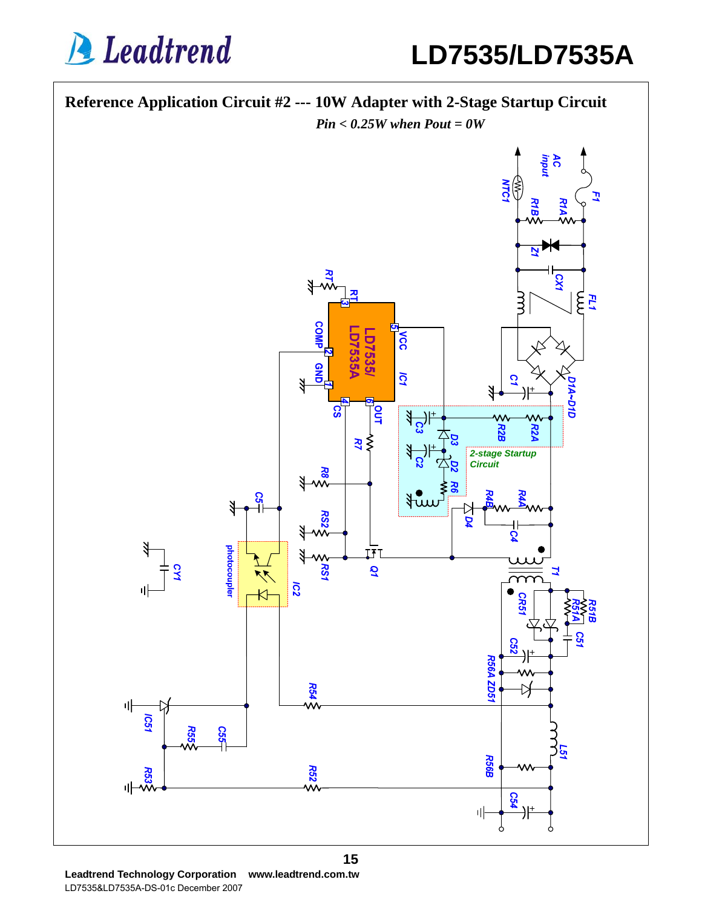**A** Leadtrend

**LD7535/LD7535A**

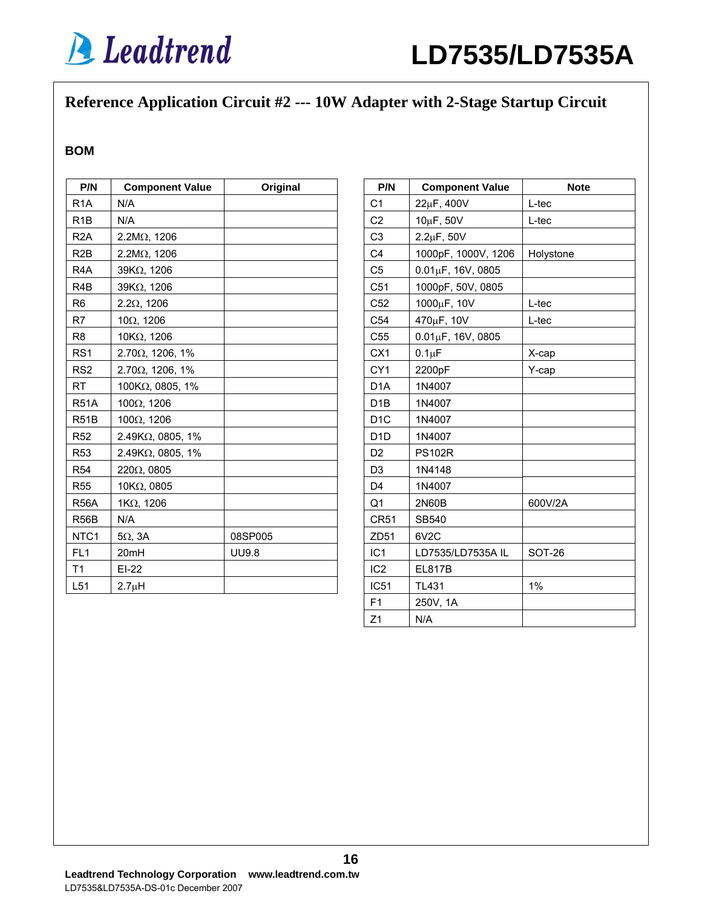## **Reference Application Circuit #2 --- 10W Adapter with 2-Stage Startup Circuit**

#### **BOM**

| P/N               | <b>Component Value</b><br>Original |              |  |
|-------------------|------------------------------------|--------------|--|
| R <sub>1</sub> A  | N/A                                |              |  |
| R <sub>1</sub> B  | N/A                                |              |  |
| R <sub>2</sub> A  | 2.2MΩ, 1206                        |              |  |
| R2B               | $2.2M\Omega$ , 1206                |              |  |
| R <sub>4</sub> A  | 39KΩ, 1206                         |              |  |
| R <sub>4</sub> B  | 39KΩ, 1206                         |              |  |
| R <sub>6</sub>    | $2.2\Omega$ , 1206                 |              |  |
| R7                | $10\Omega$ , 1206                  |              |  |
| R <sub>8</sub>    | 10KΩ, 1206                         |              |  |
| RS <sub>1</sub>   | $2.70\Omega$ , 1206, 1%            |              |  |
| RS <sub>2</sub>   | $2.70\Omega$ , 1206, 1%            |              |  |
| <b>RT</b>         | 100KΩ, 0805, 1%                    |              |  |
| <b>R51A</b>       | 100Ω, 1206                         |              |  |
| R <sub>51</sub> B | $100\Omega$ , 1206                 |              |  |
| <b>R52</b>        | 2.49KΩ, 0805, 1%                   |              |  |
| <b>R53</b>        | $2.49K\Omega$ , 0805, 1%           |              |  |
| <b>R54</b>        | $220\Omega$ , 0805                 |              |  |
| <b>R55</b>        | 10KΩ, 0805                         |              |  |
| <b>R56A</b>       | 1ΚΩ, 1206                          |              |  |
| <b>R56B</b>       | N/A                                |              |  |
| NTC <sub>1</sub>  | $5\Omega$ , $3A$                   | 08SP005      |  |
| FL <sub>1</sub>   | 20mH                               | <b>UU9.8</b> |  |
| T1                | $EI-22$                            |              |  |
| L <sub>51</sub>   | 2.7 <sub>µ</sub> H                 |              |  |

| P/N              | <b>Component Value</b>   | <b>Note</b>   |
|------------------|--------------------------|---------------|
| C <sub>1</sub>   | 22µF, 400V               | L-tec         |
| C <sub>2</sub>   | 10µF, 50V                | L-tec         |
| C <sub>3</sub>   | $2.2\mu$ F, 50V          |               |
| C <sub>4</sub>   | 1000pF, 1000V, 1206      | Holystone     |
| C <sub>5</sub>   | $0.01 \mu F$ , 16V, 0805 |               |
| C51              | 1000pF, 50V, 0805        |               |
| C52              | 1000µF, 10V              | L-tec         |
| C <sub>54</sub>  | 470µF, 10V               | L-tec         |
| C <sub>55</sub>  | $0.01 \mu F$ , 16V, 0805 |               |
| CX <sub>1</sub>  | $0.1 \mu F$              | X-cap         |
| CY <sub>1</sub>  | 2200pF                   | Y-cap         |
| D <sub>1</sub> A | 1N4007                   |               |
| D <sub>1</sub> B | 1N4007                   |               |
| D <sub>1</sub> C | 1N4007                   |               |
| D <sub>1</sub> D | 1N4007                   |               |
| D <sub>2</sub>   | <b>PS102R</b>            |               |
| D <sub>3</sub>   | 1N4148                   |               |
| D <sub>4</sub>   | 1N4007                   |               |
| Q1               | 2N60B                    | 600V/2A       |
| <b>CR51</b>      | SB540                    |               |
| ZD51             | 6V <sub>2</sub> C        |               |
| IC <sub>1</sub>  | LD7535/LD7535A IL        | <b>SOT-26</b> |
| IC <sub>2</sub>  | <b>EL817B</b>            |               |
| IC <sub>51</sub> | <b>TL431</b>             | 1%            |
| F1               | 250V, 1A                 |               |
| Z1               | N/A                      |               |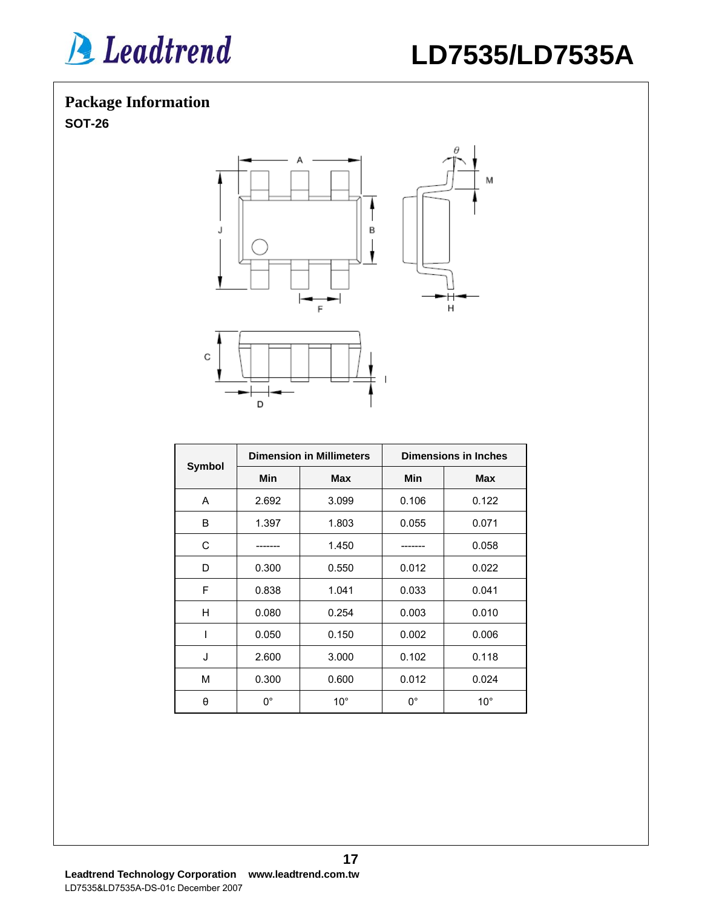

## **LD7535/LD7535A**

## **Package Information**

**SOT-26** 



|               | <b>Dimension in Millimeters</b> |              | <b>Dimensions in Inches</b> |              |
|---------------|---------------------------------|--------------|-----------------------------|--------------|
| <b>Symbol</b> | <b>Min</b>                      | <b>Max</b>   | <b>Min</b>                  | <b>Max</b>   |
| A             | 2.692                           | 3.099        | 0.106                       | 0.122        |
| B             | 1.397                           | 1.803        | 0.055                       | 0.071        |
| C             |                                 | 1.450        |                             | 0.058        |
| D             | 0.300                           | 0.550        | 0.012                       | 0.022        |
| F             | 0.838                           | 1.041        | 0.033                       | 0.041        |
| Н             | 0.080                           | 0.254        | 0.003                       | 0.010        |
| ı             | 0.050                           | 0.150        | 0.002                       | 0.006        |
| J             | 2.600                           | 3.000        | 0.102                       | 0.118        |
| M             | 0.300                           | 0.600        | 0.012                       | 0.024        |
| θ             | $0^{\circ}$                     | $10^{\circ}$ | $0^{\circ}$                 | $10^{\circ}$ |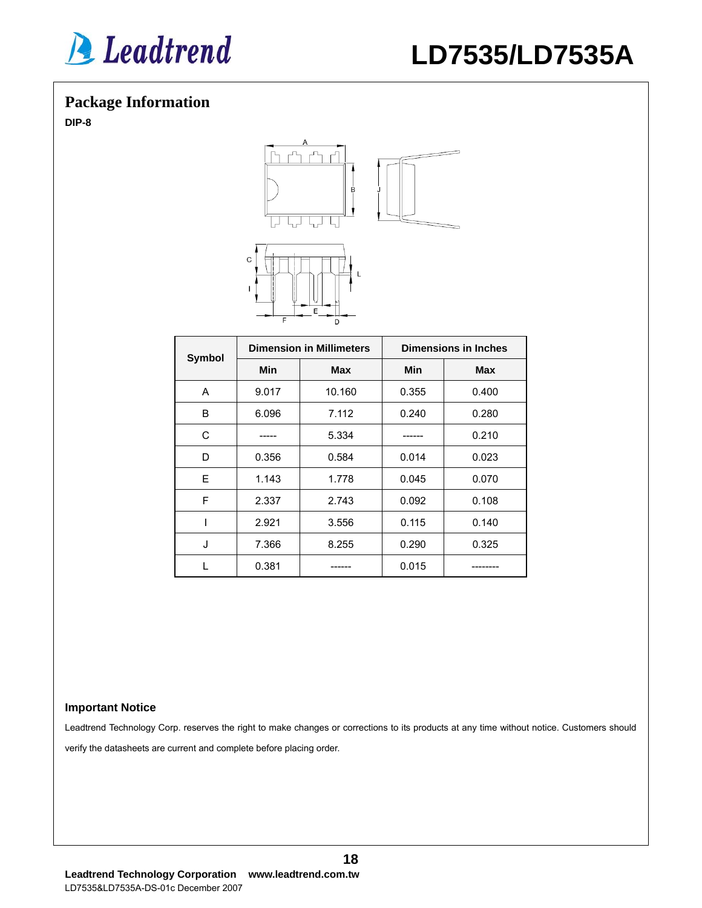

### **Package Information**

**DIP-8** 



| Symbol | <b>Dimension in Millimeters</b> |            | <b>Dimensions in Inches</b> |            |
|--------|---------------------------------|------------|-----------------------------|------------|
|        | Min                             | <b>Max</b> | Min                         | <b>Max</b> |
| A      | 9.017                           | 10.160     | 0.355                       | 0.400      |
| B      | 6.096                           | 7.112      | 0.240                       | 0.280      |
| C      |                                 | 5.334      |                             | 0.210      |
| D      | 0.356                           | 0.584      | 0.014                       | 0.023      |
| E      | 1.143                           | 1.778      | 0.045                       | 0.070      |
| F      | 2.337                           | 2.743      | 0.092                       | 0.108      |
|        | 2.921                           | 3.556      | 0.115                       | 0.140      |
| J      | 7.366                           | 8.255      | 0.290                       | 0.325      |
|        | 0.381                           |            | 0.015                       |            |

#### **Important Notice**

Leadtrend Technology Corp. reserves the right to make changes or corrections to its products at any time without notice. Customers should verify the datasheets are current and complete before placing order.